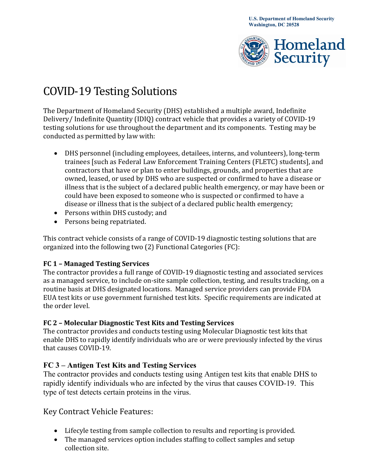

# COVID-19 Testing Solutions

The Department of Homeland Security (DHS) established a multiple award, Indefinite Delivery/ Indefinite Quantity (IDIQ) contract vehicle that provides a variety of COVID-19 testing solutions for use throughout the department and its components. Testing may be conducted as permitted by law with:

- DHS personnel (including employees, detailees, interns, and volunteers), long-term trainees [such as Federal Law Enforcement Training Centers (FLETC) students], and contractors that have or plan to enter buildings, grounds, and properties that are owned, leased, or used by DHS who are suspected or confirmed to have a disease or illness that is the subject of a declared public health emergency, or may have been or could have been exposed to someone who is suspected or confirmed to have a disease or illness that is the subject of a declared public health emergency;
- Persons within DHS custody; and
- Persons being repatriated.

This contract vehicle consists of a range of COVID-19 diagnostic testing solutions that are organized into the following two (2) Functional Categories (FC):

#### **FC 1 – Managed Testing Services**

The contractor provides a full range of COVID-19 diagnostic testing and associated services as a managed service, to include on-site sample collection, testing, and results tracking, on a routine basis at DHS designated locations. Managed service providers can provide FDA EUA test kits or use government furnished test kits. Specific requirements are indicated at the order level.

#### **FC 2 – Molecular Diagnostic Test Kits and Testing Services**

The contractor provides and conducts testing using Molecular Diagnostic test kits that enable DHS to rapidly identify individuals who are or were previously infected by the virus that causes COVID-19.

## **FC 3 – Antigen Test Kits and Testing Services**

The contractor provides and conducts testing using Antigen test kits that enable DHS to rapidly identify individuals who are infected by the virus that causes COVID-19. This type of test detects certain proteins in the virus.

## Key Contract Vehicle Features:

- Lifecyle testing from sample collection to results and reporting is provided.
- The managed services option includes staffing to collect samples and setup collection site.